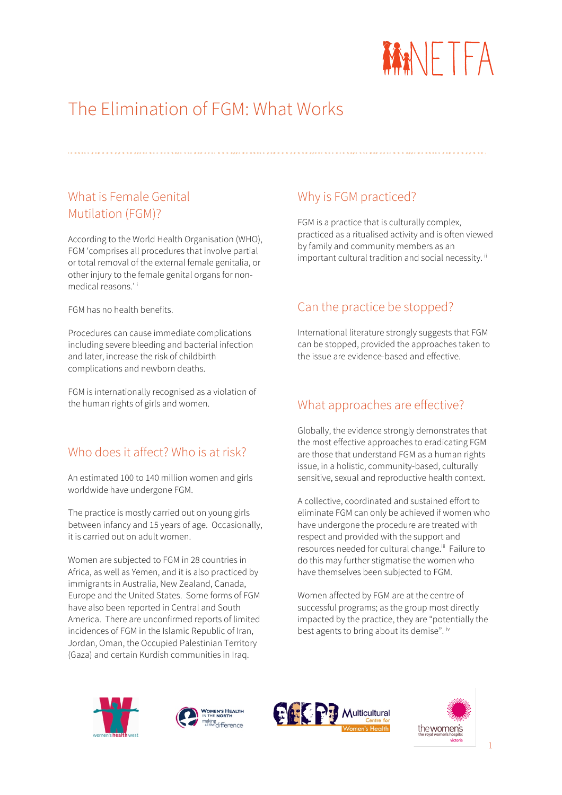

# The Elimination of FGM: What Works

#### What is Female Genital Mutilation (FGM)?

According to the World Health Organisation (WHO), FGM 'comprises all procedures that involve partial or total removal of the external female genitalia, or other injury to the female genital organs for nonmedical reasons.' i

FGM has no health benefits.

Procedures can cause immediate complications including severe bleeding and bacterial infection and later, increase the risk of childbirth complications and newborn deaths.

FGM is internationally recognised as a violation of the human rights of girls and women.

#### Who does it affect? Who is at risk?

An estimated 100 to 140 million women and girls worldwide have undergone FGM.

The practice is mostly carried out on young girls between infancy and 15 years of age. Occasionally, it is carried out on adult women.

Women are subjected to FGM in 28 countries in Africa, as well as Yemen, and it is also practiced by immigrants in Australia, New Zealand, Canada, Europe and the United States. Some forms of FGM have also been reported in Central and South America. There are unconfirmed reports of limited incidences of FGM in the Islamic Republic of Iran, Jordan, Oman, the Occupied Palestinian Territory (Gaza) and certain Kurdish communities in Iraq.

#### Why is FGM practiced?

FGM is a practice that is culturally complex, practiced as a ritualised activity and is often viewed by family and community members as an important cultural tradition and social necessity.<sup>ii</sup>

#### Can the practice be stopped?

International literature strongly suggests that FGM can be stopped, provided the approaches taken to the issue are evidence-based and effective.

### What approaches are effective?

Globally, the evidence strongly demonstrates that the most effective approaches to eradicating FGM are those that understand FGM as a human rights issue, in a holistic, community-based, culturally sensitive, sexual and reproductive health context.

A collective, coordinated and sustained effort to eliminate FGM can only be achieved if women who have undergone the procedure are treated with respect and provided with the support and resources needed for cultural change.<sup>iii</sup> Failure to do this may further stigmatise the women who have themselves been subjected to FGM.

Women affected by FGM are at the centre of successful programs; as the group most directly impacted by the practice, they are "potentially the best agents to bring about its demise". iv